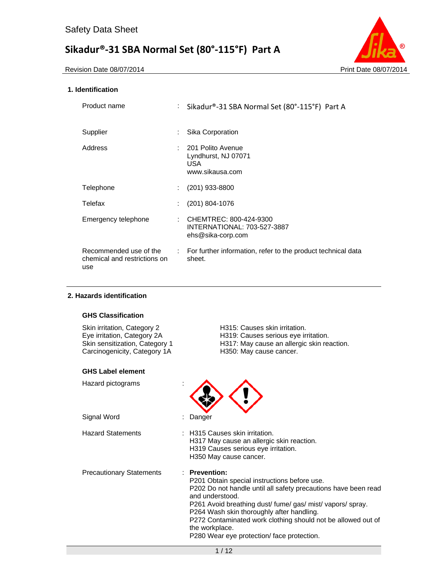

# **1. Identification**

| Product name                                                  | t.                           | Sikadur®-31 SBA Normal Set (80°-115°F) Part A                              |
|---------------------------------------------------------------|------------------------------|----------------------------------------------------------------------------|
| Supplier                                                      | ÷                            | Sika Corporation                                                           |
| Address                                                       |                              | : 201 Polito Avenue<br>Lyndhurst, NJ 07071<br>USA.<br>www.sikausa.com      |
| Telephone                                                     | ÷.                           | $(201)$ 933-8800                                                           |
| Telefax                                                       |                              | $(201)$ 804-1076                                                           |
| Emergency telephone                                           | t.                           | CHEMTREC: 800-424-9300<br>INTERNATIONAL: 703-527-3887<br>ehs@sika-corp.com |
| Recommended use of the<br>chemical and restrictions on<br>use | $\mathcal{L}_{\mathrm{max}}$ | For further information, refer to the product technical data<br>sheet.     |

### **2. Hazards identification**

# **GHS Classification**

| Skin irritation, Category 2<br>Eye irritation, Category 2A<br>Skin sensitization, Category 1<br>Carcinogenicity, Category 1A | H315: Causes skin irritation.<br>H319: Causes serious eye irritation.<br>H317: May cause an allergic skin reaction.<br>H350: May cause cancer.                                                                                                                                                                                                                                               |
|------------------------------------------------------------------------------------------------------------------------------|----------------------------------------------------------------------------------------------------------------------------------------------------------------------------------------------------------------------------------------------------------------------------------------------------------------------------------------------------------------------------------------------|
| <b>GHS Label element</b>                                                                                                     |                                                                                                                                                                                                                                                                                                                                                                                              |
| Hazard pictograms                                                                                                            |                                                                                                                                                                                                                                                                                                                                                                                              |
| Signal Word                                                                                                                  | Danger                                                                                                                                                                                                                                                                                                                                                                                       |
| <b>Hazard Statements</b>                                                                                                     | : H315 Causes skin irritation.<br>H317 May cause an allergic skin reaction.<br>H319 Causes serious eye irritation.<br>H350 May cause cancer.                                                                                                                                                                                                                                                 |
| <b>Precautionary Statements</b>                                                                                              | : Prevention:<br>P201 Obtain special instructions before use.<br>P202 Do not handle until all safety precautions have been read<br>and understood.<br>P261 Avoid breathing dust/ fume/ gas/ mist/ vapors/ spray.<br>P264 Wash skin thoroughly after handling.<br>P272 Contaminated work clothing should not be allowed out of<br>the workplace.<br>P280 Wear eye protection/face protection. |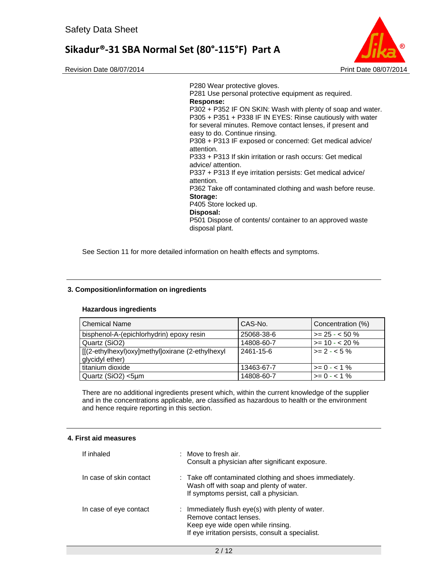



P280 Wear protective gloves. P281 Use personal protective equipment as required. **Response:**  P302 + P352 IF ON SKIN: Wash with plenty of soap and water. P305 + P351 + P338 IF IN EYES: Rinse cautiously with water for several minutes. Remove contact lenses, if present and easy to do. Continue rinsing. P308 + P313 IF exposed or concerned: Get medical advice/ attention. P333 + P313 If skin irritation or rash occurs: Get medical advice/ attention. P337 + P313 If eye irritation persists: Get medical advice/ attention. P362 Take off contaminated clothing and wash before reuse. **Storage:**  P405 Store locked up. **Disposal:**  P501 Dispose of contents/ container to an approved waste disposal plant.

See Section 11 for more detailed information on health effects and symptoms.

#### **3. Composition/information on ingredients**

#### **Hazardous ingredients**

| <b>Chemical Name</b>                                                | CAS-No.    | Concentration (%)    |
|---------------------------------------------------------------------|------------|----------------------|
| bisphenol-A-(epichlorhydrin) epoxy resin                            | 25068-38-6 | $>= 25 - 50 \%$      |
| Quartz (SiO2)                                                       | 14808-60-7 | $>= 10 - 20 \%$      |
| [[(2-ethylhexyl)oxy]methyl]oxirane (2-ethylhexyl<br>glycidyl ether) | 2461-15-6  | $\vert$ >= 2 - < 5 % |
| titanium dioxide                                                    | 13463-67-7 | $>= 0 - 1\%$         |
| Quartz (SiO2) <5µm                                                  | 14808-60-7 | $>= 0 - 1\%$         |

There are no additional ingredients present which, within the current knowledge of the supplier and in the concentrations applicable, are classified as hazardous to health or the environment and hence require reporting in this section.

#### **4. First aid measures**

| If inhaled              | $\therefore$ Move to fresh air.<br>Consult a physician after significant exposure.                                                                                   |
|-------------------------|----------------------------------------------------------------------------------------------------------------------------------------------------------------------|
| In case of skin contact | : Take off contaminated clothing and shoes immediately.<br>Wash off with soap and plenty of water.<br>If symptoms persist, call a physician.                         |
| In case of eye contact  | : Immediately flush eye(s) with plenty of water.<br>Remove contact lenses.<br>Keep eye wide open while rinsing.<br>If eye irritation persists, consult a specialist. |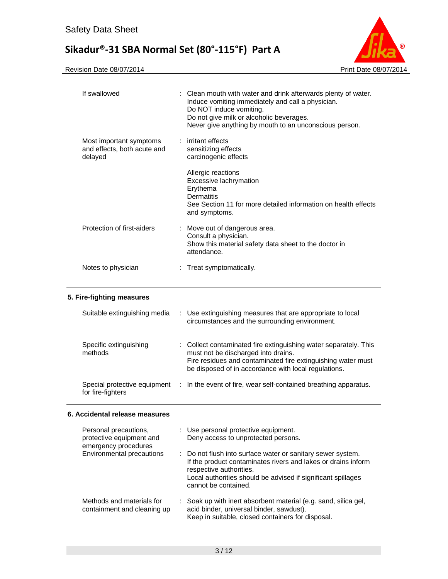

| If swallowed                                                      | : Clean mouth with water and drink afterwards plenty of water.<br>Induce vomiting immediately and call a physician.<br>Do NOT induce vomiting.<br>Do not give milk or alcoholic beverages.<br>Never give anything by mouth to an unconscious person. |
|-------------------------------------------------------------------|------------------------------------------------------------------------------------------------------------------------------------------------------------------------------------------------------------------------------------------------------|
| Most important symptoms<br>and effects, both acute and<br>delayed | : irritant effects<br>sensitizing effects<br>carcinogenic effects                                                                                                                                                                                    |
|                                                                   | Allergic reactions<br>Excessive lachrymation<br>Erythema<br>Dermatitis<br>See Section 11 for more detailed information on health effects<br>and symptoms.                                                                                            |
| Protection of first-aiders                                        | : Move out of dangerous area.<br>Consult a physician.<br>Show this material safety data sheet to the doctor in<br>attendance.                                                                                                                        |
| Notes to physician                                                | Treat symptomatically.                                                                                                                                                                                                                               |

# **5. Fire-fighting measures**

| Suitable extinguishing media                      | : Use extinguishing measures that are appropriate to local<br>circumstances and the surrounding environment.                                                                                                                    |
|---------------------------------------------------|---------------------------------------------------------------------------------------------------------------------------------------------------------------------------------------------------------------------------------|
| Specific extinguishing<br>methods                 | : Collect contaminated fire extinguishing water separately. This<br>must not be discharged into drains.<br>Fire residues and contaminated fire extinguishing water must<br>be disposed of in accordance with local regulations. |
| Special protective equipment<br>for fire-fighters | : In the event of fire, wear self-contained breathing apparatus.                                                                                                                                                                |

# **6. Accidental release measures**

| Personal precautions,<br>protective equipment and<br>emergency procedures | : Use personal protective equipment.<br>Deny access to unprotected persons.                                                                                                                                                                     |
|---------------------------------------------------------------------------|-------------------------------------------------------------------------------------------------------------------------------------------------------------------------------------------------------------------------------------------------|
| Environmental precautions                                                 | : Do not flush into surface water or sanitary sewer system.<br>If the product contaminates rivers and lakes or drains inform<br>respective authorities.<br>Local authorities should be advised if significant spillages<br>cannot be contained. |
| Methods and materials for<br>containment and cleaning up                  | : Soak up with inert absorbent material (e.g. sand, silica gel,<br>acid binder, universal binder, sawdust).<br>Keep in suitable, closed containers for disposal.                                                                                |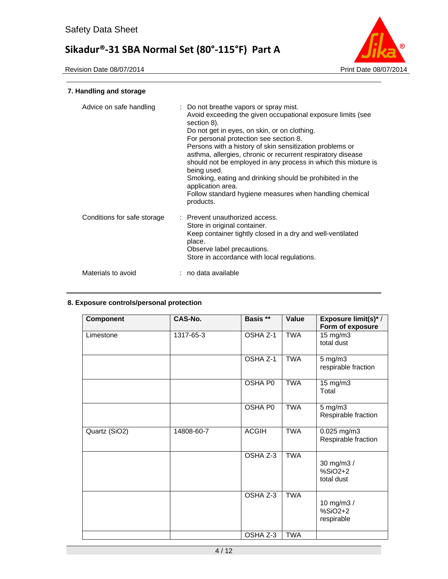

# **7. Handling and storage**

| Advice on safe handling     | : Do not breathe vapors or spray mist.<br>Avoid exceeding the given occupational exposure limits (see<br>section 8).<br>Do not get in eyes, on skin, or on clothing.<br>For personal protection see section 8.<br>Persons with a history of skin sensitization problems or<br>asthma, allergies, chronic or recurrent respiratory disease<br>should not be employed in any process in which this mixture is<br>being used.<br>Smoking, eating and drinking should be prohibited in the<br>application area.<br>Follow standard hygiene measures when handling chemical<br>products. |
|-----------------------------|-------------------------------------------------------------------------------------------------------------------------------------------------------------------------------------------------------------------------------------------------------------------------------------------------------------------------------------------------------------------------------------------------------------------------------------------------------------------------------------------------------------------------------------------------------------------------------------|
| Conditions for safe storage | : Prevent unauthorized access.<br>Store in original container.<br>Keep container tightly closed in a dry and well-ventilated<br>place.<br>Observe label precautions.<br>Store in accordance with local regulations.                                                                                                                                                                                                                                                                                                                                                                 |
| Materials to avoid          | : no data available                                                                                                                                                                                                                                                                                                                                                                                                                                                                                                                                                                 |

# **8. Exposure controls/personal protection**

| <b>Component</b> | CAS-No.    | Basis **     | Value      | Exposure limit(s)* /<br>Form of exposure  |
|------------------|------------|--------------|------------|-------------------------------------------|
| Limestone        | 1317-65-3  | OSHA Z-1     | <b>TWA</b> | 15 mg/m3<br>total dust                    |
|                  |            | OSHA Z-1     | <b>TWA</b> | 5 mg/m3<br>respirable fraction            |
|                  |            | OSHA P0      | <b>TWA</b> | 15 mg/m3<br>Total                         |
|                  |            | OSHA P0      | <b>TWA</b> | $5 \text{ mg/m}$ 3<br>Respirable fraction |
| Quartz (SiO2)    | 14808-60-7 | <b>ACGIH</b> | <b>TWA</b> | 0.025 mg/m3<br>Respirable fraction        |
|                  |            | OSHA Z-3     | <b>TWA</b> | 30 mg/m3 /<br>$%SiO2+2$<br>total dust     |
|                  |            | OSHA Z-3     | <b>TWA</b> | 10 mg/m3 /<br>$%SiO2+2$<br>respirable     |
|                  |            | OSHA Z-3     | <b>TWA</b> |                                           |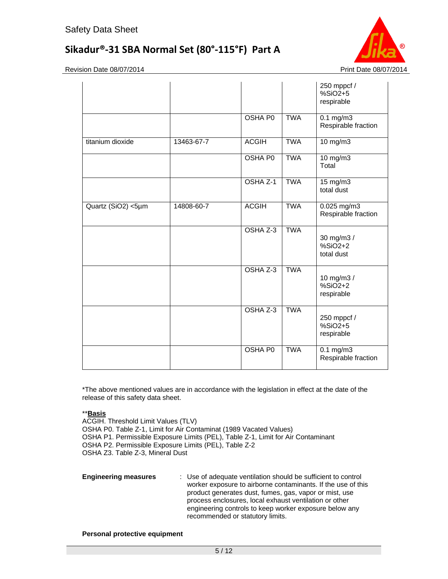

Revision Date 08/07/2014 **Print Date 08/07/2014** Print Date 08/07/2014

|                    |            |                |            | 250 mppcf /<br>$%SiO2+5$<br>respirable    |
|--------------------|------------|----------------|------------|-------------------------------------------|
|                    |            | OSHA P0        | <b>TWA</b> | $0.1 \text{ mg/m}$<br>Respirable fraction |
| titanium dioxide   | 13463-67-7 | <b>ACGIH</b>   | <b>TWA</b> | 10 mg/m3                                  |
|                    |            | <b>OSHA PO</b> | <b>TWA</b> | $10$ mg/m $3$<br>Total                    |
|                    |            | OSHA Z-1       | <b>TWA</b> | 15 mg/m3<br>total dust                    |
| Quartz (SiO2) <5µm | 14808-60-7 | <b>ACGIH</b>   | <b>TWA</b> | $0.025$ mg/m3<br>Respirable fraction      |
|                    |            | OSHA Z-3       | <b>TWA</b> | 30 mg/m3 /<br>$%SiO2+2$<br>total dust     |
|                    |            | OSHA Z-3       | <b>TWA</b> | 10 mg/m3 /<br>$%SiO2+2$<br>respirable     |
|                    |            | OSHA Z-3       | <b>TWA</b> | 250 mppcf /<br>$%SiO2+5$<br>respirable    |
|                    |            | <b>OSHA P0</b> | <b>TWA</b> | $0.1 \text{ mg/m}$<br>Respirable fraction |

\*The above mentioned values are in accordance with the legislation in effect at the date of the release of this safety data sheet.

### \*\***Basis**

ACGIH. Threshold Limit Values (TLV) OSHA P0. Table Z-1, Limit for Air Contaminat (1989 Vacated Values) OSHA P1. Permissible Exposure Limits (PEL), Table Z-1, Limit for Air Contaminant OSHA P2. Permissible Exposure Limits (PEL), Table Z-2 OSHA Z3. Table Z-3, Mineral Dust

**Engineering measures** : Use of adequate ventilation should be sufficient to control worker exposure to airborne contaminants. If the use of this product generates dust, fumes, gas, vapor or mist, use process enclosures, local exhaust ventilation or other engineering controls to keep worker exposure below any recommended or statutory limits.

#### **Personal protective equipment**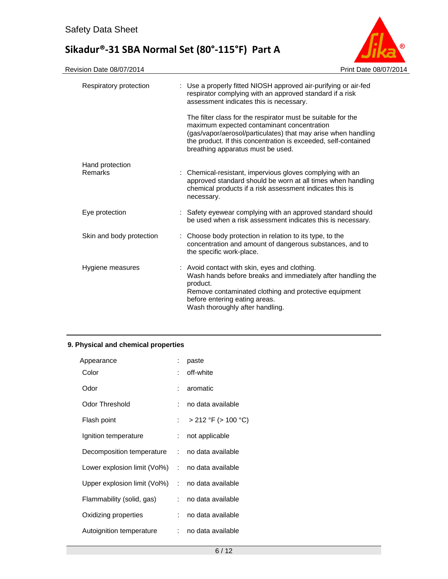

| Respiratory protection     | : Use a properly fitted NIOSH approved air-purifying or air-fed<br>respirator complying with an approved standard if a risk<br>assessment indicates this is necessary.                                                                                                             |
|----------------------------|------------------------------------------------------------------------------------------------------------------------------------------------------------------------------------------------------------------------------------------------------------------------------------|
|                            | The filter class for the respirator must be suitable for the<br>maximum expected contaminant concentration<br>(gas/vapor/aerosol/particulates) that may arise when handling<br>the product. If this concentration is exceeded, self-contained<br>breathing apparatus must be used. |
| Hand protection<br>Remarks | : Chemical-resistant, impervious gloves complying with an<br>approved standard should be worn at all times when handling<br>chemical products if a risk assessment indicates this is<br>necessary.                                                                                 |
| Eye protection             | : Safety eyewear complying with an approved standard should<br>be used when a risk assessment indicates this is necessary.                                                                                                                                                         |
| Skin and body protection   | : Choose body protection in relation to its type, to the<br>concentration and amount of dangerous substances, and to<br>the specific work-place.                                                                                                                                   |
| Hygiene measures           | : Avoid contact with skin, eyes and clothing.<br>Wash hands before breaks and immediately after handling the<br>product.<br>Remove contaminated clothing and protective equipment<br>before entering eating areas.<br>Wash thoroughly after handling.                              |

# **9. Physical and chemical properties**

| Appearance                                       |                            | paste                    |
|--------------------------------------------------|----------------------------|--------------------------|
| Color                                            |                            | off-white                |
| Odor                                             |                            | aromatic                 |
| Odor Threshold                                   |                            | no data available        |
| Flash point                                      | $\mathcal{L}^{\text{max}}$ | $>$ 212 °F ( $>$ 100 °C) |
| Ignition temperature                             |                            | not applicable           |
| Decomposition temperature                        |                            | : no data available      |
| Lower explosion limit (Vol%) : no data available |                            |                          |
| Upper explosion limit (Vol%) : no data available |                            |                          |
| Flammability (solid, gas)                        |                            | : no data available      |
| Oxidizing properties                             | t.                         | no data available        |
| Autoignition temperature                         |                            | no data available        |
|                                                  |                            |                          |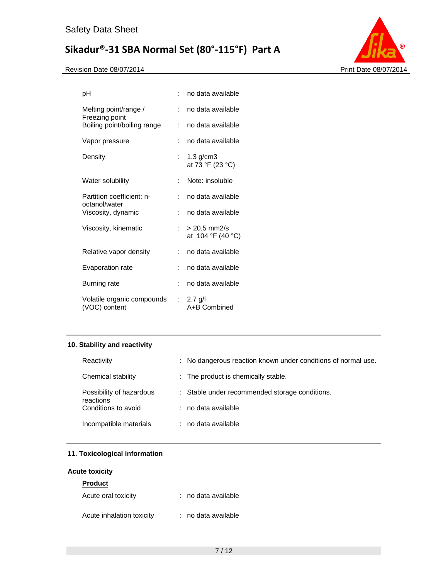

| рH                                          |    | no data available                   |
|---------------------------------------------|----|-------------------------------------|
| Melting point/range /<br>Freezing point     | t. | no data available                   |
| Boiling point/boiling range                 | ÷. | no data available                   |
| Vapor pressure                              |    | no data available                   |
| Density                                     | t. | $1.3$ g/cm $3$<br>at 73 °F (23 °C)  |
| Water solubility                            | t. | Note: insoluble                     |
| Partition coefficient: n-<br>octanol/water  |    | no data available                   |
| Viscosity, dynamic                          |    | no data available                   |
| Viscosity, kinematic                        | t. | $> 20.5$ mm2/s<br>at 104 °F (40 °C) |
| Relative vapor density                      | ÷. | no data available                   |
| Evaporation rate                            | t. | no data available                   |
| <b>Burning rate</b>                         |    | no data available                   |
| Volatile organic compounds<br>(VOC) content |    | : 2.7 g/l<br>A+B Combined           |

# **10. Stability and reactivity**

| Reactivity                            | : No dangerous reaction known under conditions of normal use. |
|---------------------------------------|---------------------------------------------------------------|
| Chemical stability                    | : The product is chemically stable.                           |
| Possibility of hazardous<br>reactions | : Stable under recommended storage conditions.                |
| Conditions to avoid                   | : no data available                                           |
| Incompatible materials                | $:$ no data available                                         |

# **11. Toxicological information**

# **Acute toxicity**

| <b>Product</b>            |                     |
|---------------------------|---------------------|
| Acute oral toxicity       | : no data available |
| Acute inhalation toxicity | : no data available |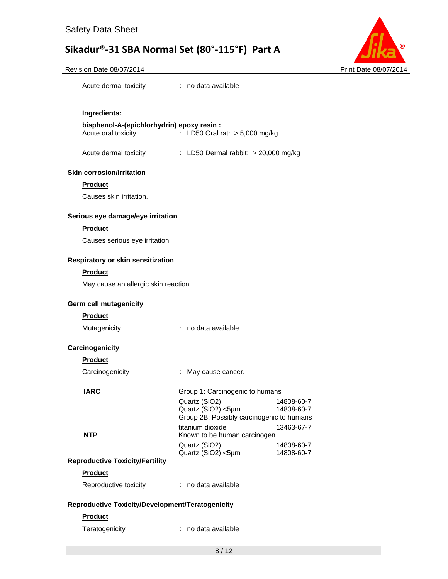

#### Revision Date 08/07/2014 **Print Date 08/07/2014** Print Date 08/07/2014

| Acute dermal toxicity | no data available |
|-----------------------|-------------------|
|-----------------------|-------------------|

# **Ingredients:**

#### **bisphenol-A-(epichlorhydrin) epoxy resin :**  Acute oral toxicity : LD50 Oral rat: > 5,000 mg/kg

Acute dermal toxicity : LD50 Dermal rabbit: > 20,000 mg/kg

#### **Skin corrosion/irritation**

#### **Product**

Causes skin irritation.

#### **Serious eye damage/eye irritation**

#### **Product**

Causes serious eye irritation.

#### **Respiratory or skin sensitization**

#### **Product**

May cause an allergic skin reaction.

#### **Germ cell mutagenicity**

#### **Product**

| no data available |
|-------------------|
|                   |

### **Carcinogenicity**

#### **Product**

Carcinogenicity : May cause cancer.

#### **IARC** Group 1: Carcinogenic to humans

Quartz (SiO2) 14808-60-7<br>Quartz (SiO2) <5µm 14808-60-7 Quartz (SiO2) <5µm Group 2B: Possibly carcinogenic to humans titanium dioxide 13463-67-7 **NTP** Known to be human carcinogen Quartz (SiO2) 14808-60-7 Quartz (SiO2) <5µm 14808-60-7

### **Reproductive Toxicity/Fertility**

# **Product**

| Reproductive toxicity | no data available |
|-----------------------|-------------------|
|-----------------------|-------------------|

### **Reproductive Toxicity/Development/Teratogenicity**

### **Product**

Teratogenicity **interpretatally** in the data available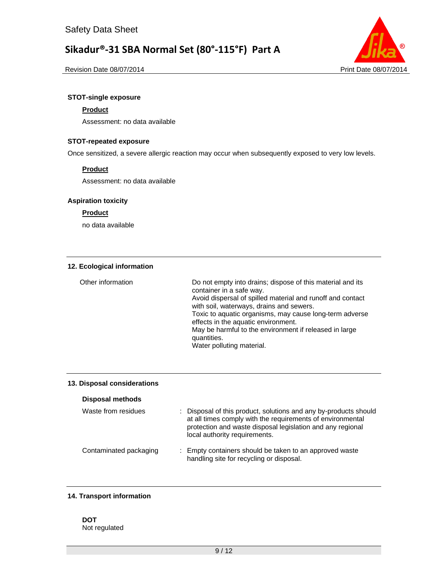

Revision Date 08/07/2014 **Print Date 08/07/2014** Print Date 08/07/2014

# **STOT-single exposure**

# **Product**

Assessment: no data available

### **STOT-repeated exposure**

Once sensitized, a severe allergic reaction may occur when subsequently exposed to very low levels.

# **Product**

Assessment: no data available

#### **Aspiration toxicity**

### **Product**

no data available

#### **12. Ecological information**

| Other information | Do not empty into drains; dispose of this material and its<br>container in a safe way.<br>Avoid dispersal of spilled material and runoff and contact<br>with soil, waterways, drains and sewers.<br>Toxic to aquatic organisms, may cause long-term adverse<br>effects in the aquatic environment.<br>May be harmful to the environment if released in large<br>quantities.<br>Water polluting material. |
|-------------------|----------------------------------------------------------------------------------------------------------------------------------------------------------------------------------------------------------------------------------------------------------------------------------------------------------------------------------------------------------------------------------------------------------|
|                   |                                                                                                                                                                                                                                                                                                                                                                                                          |

#### **13. Disposal considerations**

| <b>Disposal methods</b> |                                                                                                                                                                                                                               |
|-------------------------|-------------------------------------------------------------------------------------------------------------------------------------------------------------------------------------------------------------------------------|
| Waste from residues     | : Disposal of this product, solutions and any by-products should<br>at all times comply with the requirements of environmental<br>protection and waste disposal legislation and any regional<br>local authority requirements. |
| Contaminated packaging  | : Empty containers should be taken to an approved waste<br>handling site for recycling or disposal.                                                                                                                           |

### **14. Transport information**

### **DOT**  Not regulated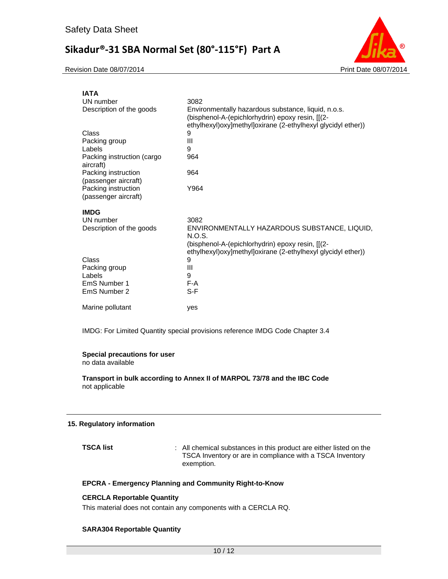Revision Date 08/07/2014 **Print Date 08/07/2014** Print Date 08/07/2014



| <b>IATA</b>                                 |                                                                                                                                                                            |
|---------------------------------------------|----------------------------------------------------------------------------------------------------------------------------------------------------------------------------|
| UN number                                   | 3082                                                                                                                                                                       |
| Description of the goods                    | Environmentally hazardous substance, liquid, n.o.s.<br>(bisphenol-A-(epichlorhydrin) epoxy resin, [[(2-<br>ethylhexyl) oxy] methyl] oxirane (2-ethylhexyl glycidyl ether)) |
| Class                                       | 9                                                                                                                                                                          |
| Packing group                               | Ш                                                                                                                                                                          |
| Labels                                      | 9                                                                                                                                                                          |
| Packing instruction (cargo<br>aircraft)     | 964                                                                                                                                                                        |
| Packing instruction<br>(passenger aircraft) | 964                                                                                                                                                                        |
| Packing instruction<br>(passenger aircraft) | Y964                                                                                                                                                                       |
| <b>IMDG</b>                                 |                                                                                                                                                                            |
| UN number                                   | 3082                                                                                                                                                                       |
| Description of the goods                    | ENVIRONMENTALLY HAZARDOUS SUBSTANCE, LIQUID,<br>N.O.S.                                                                                                                     |
|                                             | (bisphenol-A-(epichlorhydrin) epoxy resin, [[(2-<br>ethylhexyl) oxy] methyl] oxirane (2-ethylhexyl glycidyl ether))                                                        |
| Class                                       | 9                                                                                                                                                                          |
| Packing group                               | Ш                                                                                                                                                                          |
| Labels                                      | 9                                                                                                                                                                          |
| EmS Number 1                                | F-A                                                                                                                                                                        |
| EmS Number 2                                | S-F                                                                                                                                                                        |
| Marine pollutant                            | yes                                                                                                                                                                        |

IMDG: For Limited Quantity special provisions reference IMDG Code Chapter 3.4

#### **Special precautions for user**

no data available

**Transport in bulk according to Annex II of MARPOL 73/78 and the IBC Code**  not applicable

### **15. Regulatory information**

**TSCA list** : All chemical substances in this product are either listed on the TSCA Inventory or are in compliance with a TSCA Inventory exemption.

# **EPCRA - Emergency Planning and Community Right-to-Know**

#### **CERCLA Reportable Quantity**

This material does not contain any components with a CERCLA RQ.

#### **SARA304 Reportable Quantity**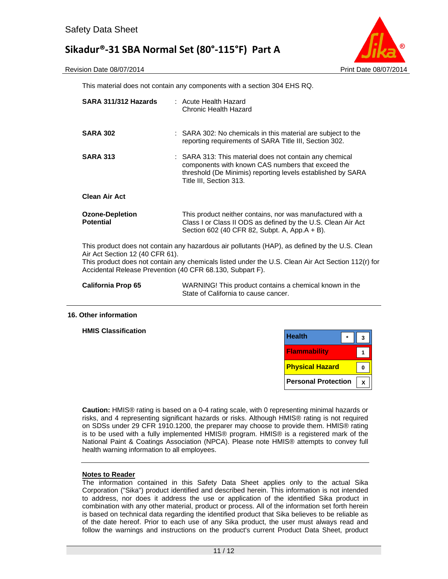

This material does not contain any components with a section 304 EHS RQ.

| SARA 311/312 Hazards                                                                         | : Acute Health Hazard<br>Chronic Health Hazard                                                                                                                                                         |
|----------------------------------------------------------------------------------------------|--------------------------------------------------------------------------------------------------------------------------------------------------------------------------------------------------------|
| <b>SARA 302</b>                                                                              | : SARA 302: No chemicals in this material are subject to the<br>reporting requirements of SARA Title III, Section 302.                                                                                 |
| <b>SARA 313</b>                                                                              | : SARA 313: This material does not contain any chemical<br>components with known CAS numbers that exceed the<br>threshold (De Minimis) reporting levels established by SARA<br>Title III, Section 313. |
| <b>Clean Air Act</b>                                                                         |                                                                                                                                                                                                        |
| <b>Ozone-Depletion</b><br><b>Potential</b>                                                   | This product neither contains, nor was manufactured with a<br>Class I or Class II ODS as defined by the U.S. Clean Air Act<br>Section 602 (40 CFR 82, Subpt. A, App.A + B).                            |
| Air Act Section 12 (40 CFR 61).<br>Accidental Release Prevention (40 CFR 68.130, Subpart F). | This product does not contain any hazardous air pollutants (HAP), as defined by the U.S. Clean<br>This product does not contain any chemicals listed under the U.S. Clean Air Act Section 112(r) for   |
| <b>California Prop 65</b>                                                                    | WARNING! This product contains a chemical known in the<br>State of California to cause cancer.                                                                                                         |

#### **16. Other information**

**HMIS Classification** 

| <b>Health</b>              |  |  |
|----------------------------|--|--|
| <b>Flammability</b>        |  |  |
| <b>Physical Hazard</b>     |  |  |
| <b>Personal Protection</b> |  |  |

**Caution:** HMIS® rating is based on a 0-4 rating scale, with 0 representing minimal hazards or risks, and 4 representing significant hazards or risks. Although HMIS® rating is not required on SDSs under 29 CFR 1910.1200, the preparer may choose to provide them. HMIS® rating is to be used with a fully implemented HMIS® program. HMIS® is a registered mark of the National Paint & Coatings Association (NPCA). Please note HMIS® attempts to convey full health warning information to all employees.

# **Notes to Reader**

The information contained in this Safety Data Sheet applies only to the actual Sika Corporation ("Sika") product identified and described herein. This information is not intended to address, nor does it address the use or application of the identified Sika product in combination with any other material, product or process. All of the information set forth herein is based on technical data regarding the identified product that Sika believes to be reliable as of the date hereof. Prior to each use of any Sika product, the user must always read and follow the warnings and instructions on the product's current Product Data Sheet, product